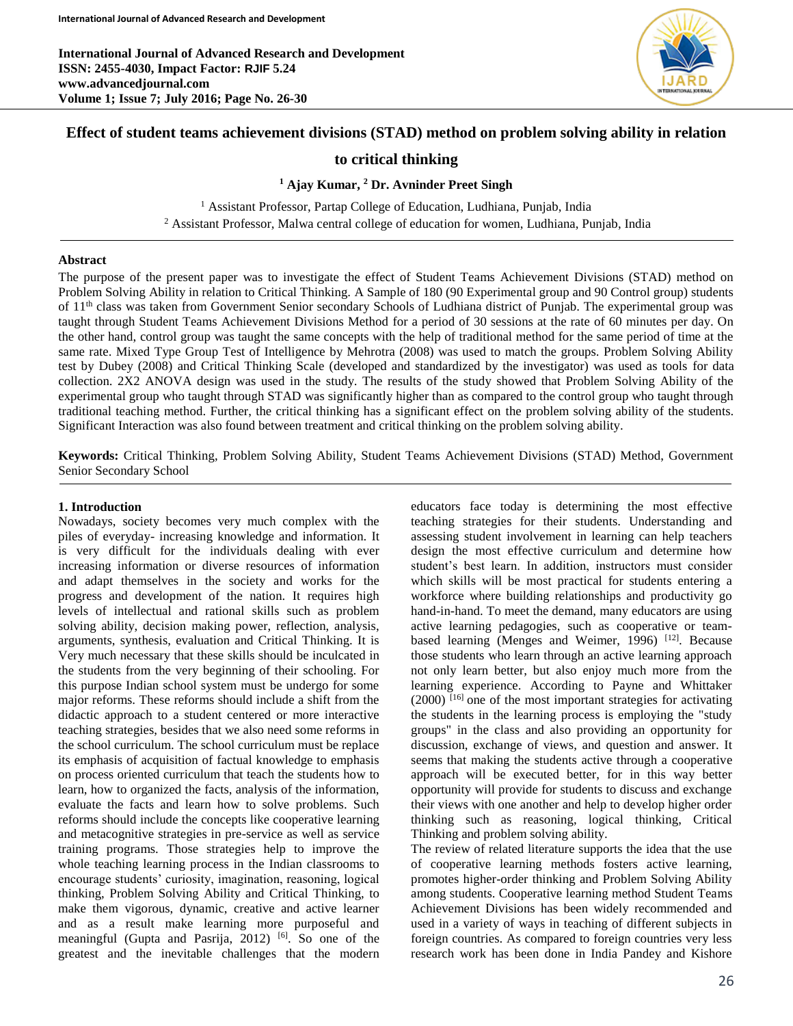

# **Effect of student teams achievement divisions (STAD) method on problem solving ability in relation**

# **to critical thinking**

## **<sup>1</sup> Ajay Kumar, <sup>2</sup> Dr. Avninder Preet Singh**

<sup>1</sup> Assistant Professor, Partap College of Education, Ludhiana, Punjab, India <sup>2</sup> Assistant Professor, Malwa central college of education for women, Ludhiana, Punjab, India

#### **Abstract**

The purpose of the present paper was to investigate the effect of Student Teams Achievement Divisions (STAD) method on Problem Solving Ability in relation to Critical Thinking. A Sample of 180 (90 Experimental group and 90 Control group) students of 11th class was taken from Government Senior secondary Schools of Ludhiana district of Punjab. The experimental group was taught through Student Teams Achievement Divisions Method for a period of 30 sessions at the rate of 60 minutes per day. On the other hand, control group was taught the same concepts with the help of traditional method for the same period of time at the same rate. Mixed Type Group Test of Intelligence by Mehrotra (2008) was used to match the groups. Problem Solving Ability test by Dubey (2008) and Critical Thinking Scale (developed and standardized by the investigator) was used as tools for data collection. 2X2 ANOVA design was used in the study. The results of the study showed that Problem Solving Ability of the experimental group who taught through STAD was significantly higher than as compared to the control group who taught through traditional teaching method. Further, the critical thinking has a significant effect on the problem solving ability of the students. Significant Interaction was also found between treatment and critical thinking on the problem solving ability.

**Keywords:** Critical Thinking, Problem Solving Ability, Student Teams Achievement Divisions (STAD) Method, Government Senior Secondary School

#### **1. Introduction**

Nowadays, society becomes very much complex with the piles of everyday- increasing knowledge and information. It is very difficult for the individuals dealing with ever increasing information or diverse resources of information and adapt themselves in the society and works for the progress and development of the nation. It requires high levels of intellectual and rational skills such as problem solving ability, decision making power, reflection, analysis, arguments, synthesis, evaluation and Critical Thinking. It is Very much necessary that these skills should be inculcated in the students from the very beginning of their schooling. For this purpose Indian school system must be undergo for some major reforms. These reforms should include a shift from the didactic approach to a student centered or more interactive teaching strategies, besides that we also need some reforms in the school curriculum. The school curriculum must be replace its emphasis of acquisition of factual knowledge to emphasis on process oriented curriculum that teach the students how to learn, how to organized the facts, analysis of the information, evaluate the facts and learn how to solve problems. Such reforms should include the concepts like cooperative learning and metacognitive strategies in pre-service as well as service training programs. Those strategies help to improve the whole teaching learning process in the Indian classrooms to encourage students' curiosity, imagination, reasoning, logical thinking, Problem Solving Ability and Critical Thinking, to make them vigorous, dynamic, creative and active learner and as a result make learning more purposeful and meaningful (Gupta and Pasrija, 2012)<sup>[6]</sup>. So one of the greatest and the inevitable challenges that the modern

educators face today is determining the most effective teaching strategies for their students. Understanding and assessing student involvement in learning can help teachers design the most effective curriculum and determine how student's best learn. In addition, instructors must consider which skills will be most practical for students entering a workforce where building relationships and productivity go hand-in-hand. To meet the demand, many educators are using active learning pedagogies, such as cooperative or teambased learning (Menges and Weimer, 1996) [12]. Because those students who learn through an active learning approach not only learn better, but also enjoy much more from the learning experience. According to Payne and Whittaker  $(2000)$ <sup>[16]</sup> one of the most important strategies for activating the students in the learning process is employing the "study groups" in the class and also providing an opportunity for discussion, exchange of views, and question and answer. It seems that making the students active through a cooperative approach will be executed better, for in this way better opportunity will provide for students to discuss and exchange their views with one another and help to develop higher order thinking such as reasoning, logical thinking, Critical Thinking and problem solving ability.

The review of related literature supports the idea that the use of cooperative learning methods fosters active learning, promotes higher-order thinking and Problem Solving Ability among students. Cooperative learning method Student Teams Achievement Divisions has been widely recommended and used in a variety of ways in teaching of different subjects in foreign countries. As compared to foreign countries very less research work has been done in India Pandey and Kishore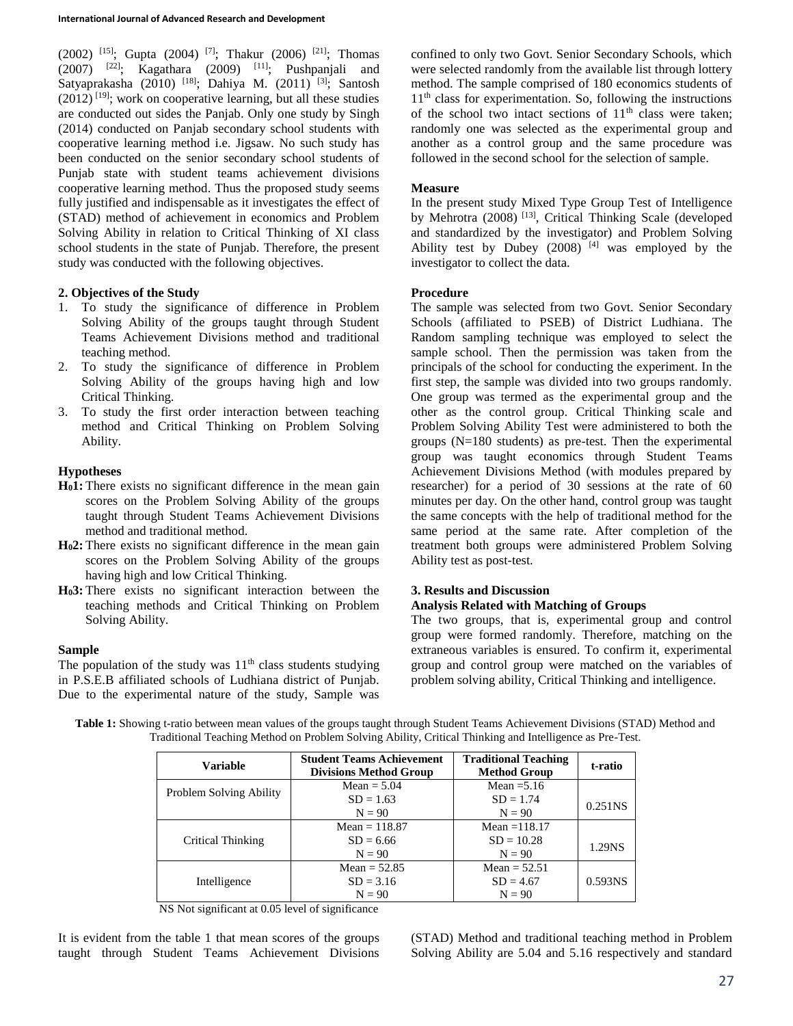$(2002)$  <sup>[15]</sup>; Gupta (2004)<sup>[7]</sup>; Thakur (2006)<sup>[21]</sup>; Thomas  $(2007)$  <sup>[22]</sup>; Kagathara  $(2009)$  <sup>[11]</sup>; Pushpanjali and Satyaprakasha (2010) <sup>[18]</sup>; Dahiya M. (2011) <sup>[3]</sup>; Santosh  $(2012)$ <sup>[19]</sup>; work on cooperative learning, but all these studies are conducted out sides the Panjab. Only one study by Singh (2014) conducted on Panjab secondary school students with cooperative learning method i.e. Jigsaw. No such study has been conducted on the senior secondary school students of Punjab state with student teams achievement divisions cooperative learning method. Thus the proposed study seems fully justified and indispensable as it investigates the effect of (STAD) method of achievement in economics and Problem Solving Ability in relation to Critical Thinking of XI class school students in the state of Punjab. Therefore, the present study was conducted with the following objectives.

## **2. Objectives of the Study**

- 1. To study the significance of difference in Problem Solving Ability of the groups taught through Student Teams Achievement Divisions method and traditional teaching method.
- 2. To study the significance of difference in Problem Solving Ability of the groups having high and low Critical Thinking.
- 3. To study the first order interaction between teaching method and Critical Thinking on Problem Solving Ability.

## **Hypotheses**

- **H01:** There exists no significant difference in the mean gain scores on the Problem Solving Ability of the groups taught through Student Teams Achievement Divisions method and traditional method.
- **H02:** There exists no significant difference in the mean gain scores on the Problem Solving Ability of the groups having high and low Critical Thinking.
- **H03:** There exists no significant interaction between the teaching methods and Critical Thinking on Problem Solving Ability.

## **Sample**

The population of the study was  $11<sup>th</sup>$  class students studying in P.S.E.B affiliated schools of Ludhiana district of Punjab. Due to the experimental nature of the study, Sample was

confined to only two Govt. Senior Secondary Schools, which were selected randomly from the available list through lottery method. The sample comprised of 180 economics students of  $11<sup>th</sup>$  class for experimentation. So, following the instructions of the school two intact sections of  $11<sup>th</sup>$  class were taken; randomly one was selected as the experimental group and another as a control group and the same procedure was followed in the second school for the selection of sample.

## **Measure**

In the present study Mixed Type Group Test of Intelligence by Mehrotra (2008)<sup>[13]</sup>, Critical Thinking Scale (developed and standardized by the investigator) and Problem Solving Ability test by Dubey  $(2008)$ <sup>[4]</sup> was employed by the investigator to collect the data.

#### **Procedure**

The sample was selected from two Govt. Senior Secondary Schools (affiliated to PSEB) of District Ludhiana. The Random sampling technique was employed to select the sample school. Then the permission was taken from the principals of the school for conducting the experiment. In the first step, the sample was divided into two groups randomly. One group was termed as the experimental group and the other as the control group. Critical Thinking scale and Problem Solving Ability Test were administered to both the groups (N=180 students) as pre-test. Then the experimental group was taught economics through Student Teams Achievement Divisions Method (with modules prepared by researcher) for a period of 30 sessions at the rate of 60 minutes per day. On the other hand, control group was taught the same concepts with the help of traditional method for the same period at the same rate. After completion of the treatment both groups were administered Problem Solving Ability test as post-test.

## **3. Results and Discussion**

## **Analysis Related with Matching of Groups**

The two groups, that is, experimental group and control group were formed randomly. Therefore, matching on the extraneous variables is ensured. To confirm it, experimental group and control group were matched on the variables of problem solving ability, Critical Thinking and intelligence.

**Table 1:** Showing t-ratio between mean values of the groups taught through Student Teams Achievement Divisions (STAD) Method and Traditional Teaching Method on Problem Solving Ability, Critical Thinking and Intelligence as Pre-Test.

| <b>Variable</b>         | <b>Student Teams Achievement</b><br><b>Divisions Method Group</b> | <b>Traditional Teaching</b><br><b>Method Group</b> | t-ratio             |
|-------------------------|-------------------------------------------------------------------|----------------------------------------------------|---------------------|
| Problem Solving Ability | $Mean = 5.04$                                                     | Mean $=$ 5.16                                      |                     |
|                         | $SD = 1.63$                                                       | $SD = 1.74$                                        | 0.251 <sub>NS</sub> |
|                         | $N = 90$                                                          | $N = 90$                                           |                     |
| Critical Thinking       | Mean = $118.87$                                                   | Mean = $118.17$                                    |                     |
|                         | $SD = 6.66$                                                       | $SD = 10.28$                                       |                     |
|                         | $N = 90$                                                          | $N = 90$                                           | 1.29NS              |
|                         | Mean = $52.85$                                                    | Mean $= 52.51$                                     |                     |
| Intelligence            | $SD = 3.16$                                                       | $SD = 4.67$                                        | 0.593NS             |
|                         | $N = 90$                                                          | $N = 90$                                           |                     |

NS Not significant at 0.05 level of significance

It is evident from the table 1 that mean scores of the groups taught through Student Teams Achievement Divisions (STAD) Method and traditional teaching method in Problem Solving Ability are 5.04 and 5.16 respectively and standard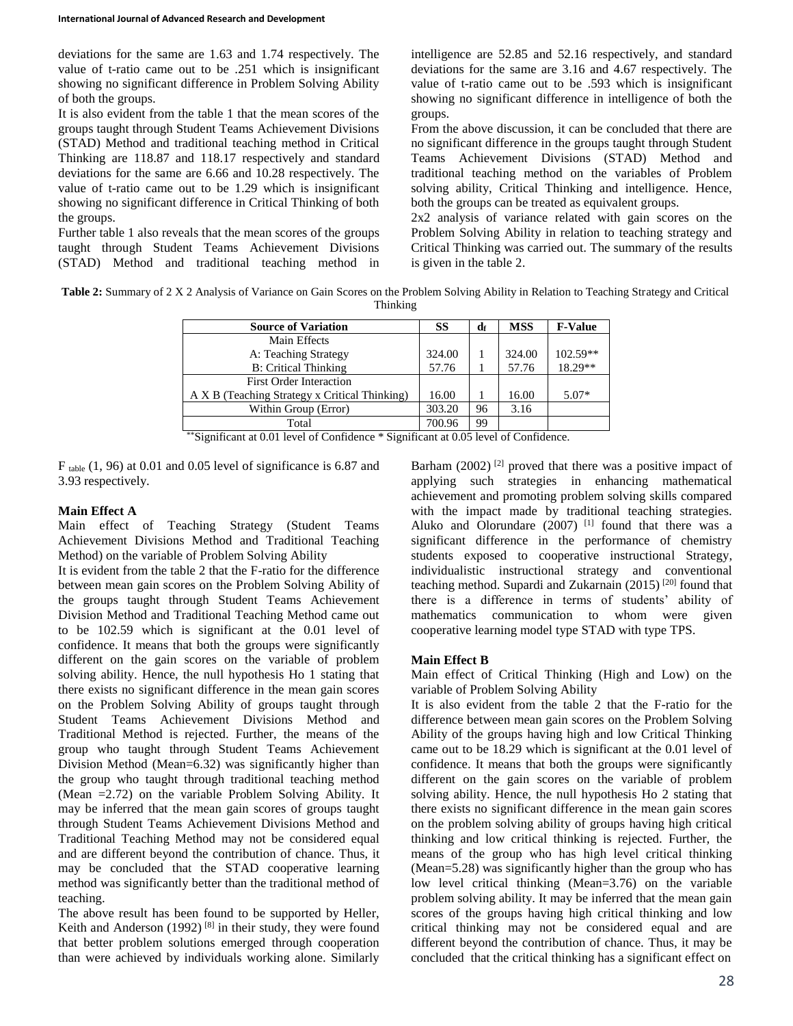deviations for the same are 1.63 and 1.74 respectively. The value of t-ratio came out to be .251 which is insignificant showing no significant difference in Problem Solving Ability of both the groups.

It is also evident from the table 1 that the mean scores of the groups taught through Student Teams Achievement Divisions (STAD) Method and traditional teaching method in Critical Thinking are 118.87 and 118.17 respectively and standard deviations for the same are 6.66 and 10.28 respectively. The value of t-ratio came out to be 1.29 which is insignificant showing no significant difference in Critical Thinking of both the groups.

Further table 1 also reveals that the mean scores of the groups taught through Student Teams Achievement Divisions (STAD) Method and traditional teaching method in intelligence are 52.85 and 52.16 respectively, and standard deviations for the same are 3.16 and 4.67 respectively. The value of t-ratio came out to be .593 which is insignificant showing no significant difference in intelligence of both the groups.

From the above discussion, it can be concluded that there are no significant difference in the groups taught through Student Teams Achievement Divisions (STAD) Method and traditional teaching method on the variables of Problem solving ability, Critical Thinking and intelligence. Hence, both the groups can be treated as equivalent groups.

2x2 analysis of variance related with gain scores on the Problem Solving Ability in relation to teaching strategy and Critical Thinking was carried out. The summary of the results is given in the table 2.

**Table 2:** Summary of 2 X 2 Analysis of Variance on Gain Scores on the Problem Solving Ability in Relation to Teaching Strategy and Critical Thinking

| <b>Source of Variation</b>                    | SS     | dr | <b>MSS</b> | <b>F-Value</b> |
|-----------------------------------------------|--------|----|------------|----------------|
| Main Effects                                  |        |    |            |                |
| A: Teaching Strategy                          | 324.00 |    | 324.00     | $102.59**$     |
| <b>B:</b> Critical Thinking                   | 57.76  |    | 57.76      | 18.29**        |
| <b>First Order Interaction</b>                |        |    |            |                |
| A X B (Teaching Strategy x Critical Thinking) | 16.00  |    | 16.00      | $5.07*$        |
| Within Group (Error)                          | 303.20 | 96 | 3.16       |                |
| Total                                         | 700.96 | 99 |            |                |

\*\*Significant at 0.01 level of Confidence \* Significant at 0.05 level of Confidence.

 $F_{table}$  (1, 96) at 0.01 and 0.05 level of significance is 6.87 and 3.93 respectively.

### **Main Effect A**

Main effect of Teaching Strategy (Student Teams Achievement Divisions Method and Traditional Teaching Method) on the variable of Problem Solving Ability

It is evident from the table 2 that the F-ratio for the difference between mean gain scores on the Problem Solving Ability of the groups taught through Student Teams Achievement Division Method and Traditional Teaching Method came out to be 102.59 which is significant at the 0.01 level of confidence. It means that both the groups were significantly different on the gain scores on the variable of problem solving ability. Hence, the null hypothesis Ho 1 stating that there exists no significant difference in the mean gain scores on the Problem Solving Ability of groups taught through Student Teams Achievement Divisions Method and Traditional Method is rejected. Further, the means of the group who taught through Student Teams Achievement Division Method (Mean=6.32) was significantly higher than the group who taught through traditional teaching method (Mean =2.72) on the variable Problem Solving Ability. It may be inferred that the mean gain scores of groups taught through Student Teams Achievement Divisions Method and Traditional Teaching Method may not be considered equal and are different beyond the contribution of chance. Thus, it may be concluded that the STAD cooperative learning method was significantly better than the traditional method of teaching.

The above result has been found to be supported by Heller, Keith and Anderson  $(1992)$ <sup>[8]</sup> in their study, they were found that better problem solutions emerged through cooperation than were achieved by individuals working alone. Similarly

Barham  $(2002)$ <sup>[2]</sup> proved that there was a positive impact of applying such strategies in enhancing mathematical achievement and promoting problem solving skills compared with the impact made by traditional teaching strategies. Aluko and Olorundare  $(2007)$ <sup>[1]</sup> found that there was a significant difference in the performance of chemistry students exposed to cooperative instructional Strategy, individualistic instructional strategy and conventional teaching method. Supardi and Zukarnain  $(2015)$ <sup>[20]</sup> found that there is a difference in terms of students' ability of mathematics communication to whom were given cooperative learning model type STAD with type TPS.

#### **Main Effect B**

Main effect of Critical Thinking (High and Low) on the variable of Problem Solving Ability

It is also evident from the table 2 that the F-ratio for the difference between mean gain scores on the Problem Solving Ability of the groups having high and low Critical Thinking came out to be 18.29 which is significant at the 0.01 level of confidence. It means that both the groups were significantly different on the gain scores on the variable of problem solving ability. Hence, the null hypothesis Ho 2 stating that there exists no significant difference in the mean gain scores on the problem solving ability of groups having high critical thinking and low critical thinking is rejected. Further, the means of the group who has high level critical thinking (Mean=5.28) was significantly higher than the group who has low level critical thinking (Mean=3.76) on the variable problem solving ability. It may be inferred that the mean gain scores of the groups having high critical thinking and low critical thinking may not be considered equal and are different beyond the contribution of chance. Thus, it may be concluded that the critical thinking has a significant effect on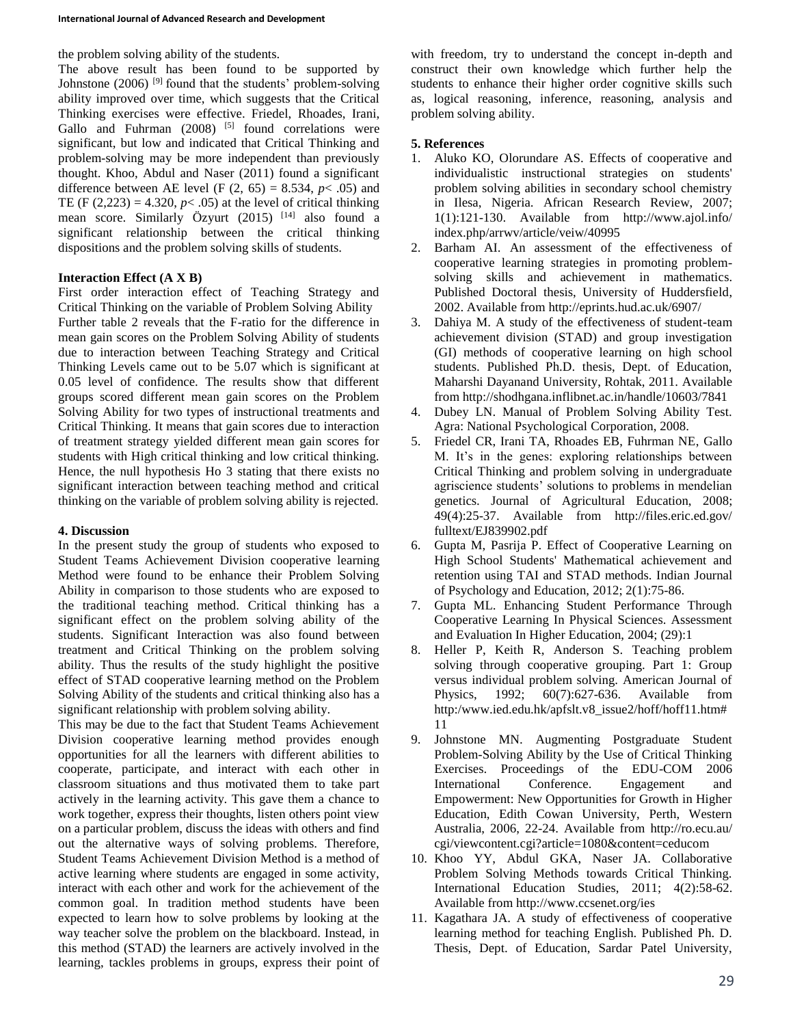the problem solving ability of the students.

The above result has been found to be supported by Johnstone (2006)<sup>[9]</sup> found that the students' problem-solving ability improved over time, which suggests that the Critical Thinking exercises were effective. Friedel, Rhoades, Irani, Gallo and Fuhrman  $(2008)^{5}$  found correlations were significant, but low and indicated that Critical Thinking and problem-solving may be more independent than previously thought. Khoo, Abdul and Naser (2011) found a significant difference between AE level (F  $(2, 65) = 8.534$ ,  $p < .05$ ) and TE (F  $(2,223) = 4.320, p < .05$ ) at the level of critical thinking mean score. Similarly Özyurt (2015) <sup>[14]</sup> also found a significant relationship between the critical thinking dispositions and the problem solving skills of students.

## **Interaction Effect (A X B)**

First order interaction effect of Teaching Strategy and Critical Thinking on the variable of Problem Solving Ability Further table 2 reveals that the F-ratio for the difference in mean gain scores on the Problem Solving Ability of students due to interaction between Teaching Strategy and Critical Thinking Levels came out to be 5.07 which is significant at 0.05 level of confidence. The results show that different groups scored different mean gain scores on the Problem Solving Ability for two types of instructional treatments and Critical Thinking. It means that gain scores due to interaction of treatment strategy yielded different mean gain scores for students with High critical thinking and low critical thinking. Hence, the null hypothesis Ho 3 stating that there exists no significant interaction between teaching method and critical thinking on the variable of problem solving ability is rejected.

## **4. Discussion**

In the present study the group of students who exposed to Student Teams Achievement Division cooperative learning Method were found to be enhance their Problem Solving Ability in comparison to those students who are exposed to the traditional teaching method. Critical thinking has a significant effect on the problem solving ability of the students. Significant Interaction was also found between treatment and Critical Thinking on the problem solving ability. Thus the results of the study highlight the positive effect of STAD cooperative learning method on the Problem Solving Ability of the students and critical thinking also has a significant relationship with problem solving ability.

This may be due to the fact that Student Teams Achievement Division cooperative learning method provides enough opportunities for all the learners with different abilities to cooperate, participate, and interact with each other in classroom situations and thus motivated them to take part actively in the learning activity. This gave them a chance to work together, express their thoughts, listen others point view on a particular problem, discuss the ideas with others and find out the alternative ways of solving problems. Therefore, Student Teams Achievement Division Method is a method of active learning where students are engaged in some activity, interact with each other and work for the achievement of the common goal. In tradition method students have been expected to learn how to solve problems by looking at the way teacher solve the problem on the blackboard. Instead, in this method (STAD) the learners are actively involved in the learning, tackles problems in groups, express their point of

with freedom, try to understand the concept in-depth and construct their own knowledge which further help the students to enhance their higher order cognitive skills such as, logical reasoning, inference, reasoning, analysis and problem solving ability.

## **5. References**

- 1. Aluko KO, Olorundare AS. Effects of cooperative and individualistic instructional strategies on students' problem solving abilities in secondary school chemistry in Ilesa, Nigeria. African Research Review, 2007; 1(1):121-130. Available from http://www.ajol.info/ index.php/arrwv/article/veiw/40995
- 2. Barham AI. An assessment of the effectiveness of cooperative learning strategies in promoting problemsolving skills and achievement in mathematics. Published Doctoral thesis, University of Huddersfield, 2002. Available from http://eprints.hud.ac.uk/6907/
- 3. Dahiya M. A study of the effectiveness of student-team achievement division (STAD) and group investigation (GI) methods of cooperative learning on high school students. Published Ph.D. thesis, Dept. of Education, Maharshi Dayanand University, Rohtak, 2011. Available from http://shodhgana.inflibnet.ac.in/handle/10603/7841
- 4. Dubey LN. Manual of Problem Solving Ability Test. Agra: National Psychological Corporation, 2008.
- 5. Friedel CR, Irani TA, Rhoades EB, Fuhrman NE, Gallo M. It's in the genes: exploring relationships between Critical Thinking and problem solving in undergraduate agriscience students' solutions to problems in mendelian genetics. Journal of Agricultural Education, 2008; 49(4):25-37. Available from http://files.eric.ed.gov/ fulltext/EJ839902.pdf
- 6. Gupta M, Pasrija P. Effect of Cooperative Learning on High School Students' Mathematical achievement and retention using TAI and STAD methods. Indian Journal of Psychology and Education, 2012; 2(1):75-86.
- 7. Gupta ML. Enhancing Student Performance Through Cooperative Learning In Physical Sciences. Assessment and Evaluation In Higher Education, 2004; (29):1
- 8. Heller P, Keith R, Anderson S. Teaching problem solving through cooperative grouping. Part 1: Group versus individual problem solving. American Journal of Physics, 1992; 60(7):627-636. Available from http:/www.ied.edu.hk/apfslt.v8\_issue2/hoff/hoff11.htm# 11
- 9. Johnstone MN. Augmenting Postgraduate Student Problem-Solving Ability by the Use of Critical Thinking Exercises. Proceedings of the EDU-COM 2006 International Conference. Engagement and Empowerment: New Opportunities for Growth in Higher Education, Edith Cowan University, Perth, Western Australia, 2006, 22-24. Available from http://ro.ecu.au/ cgi/viewcontent.cgi?article=1080&content=ceducom
- 10. Khoo YY, Abdul GKA, Naser JA. Collaborative Problem Solving Methods towards Critical Thinking. International Education Studies, 2011; 4(2):58-62. Available from http://www.ccsenet.org/ies
- 11. Kagathara JA. A study of effectiveness of cooperative learning method for teaching English. Published Ph. D. Thesis, Dept. of Education, Sardar Patel University,